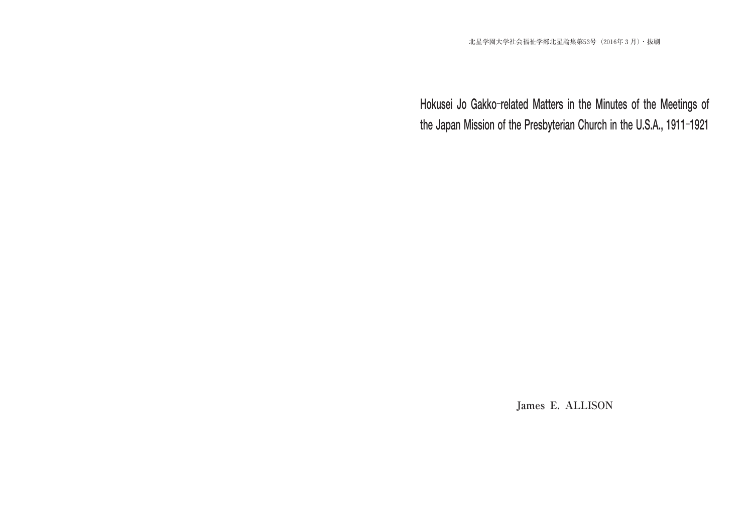James E. ALLISON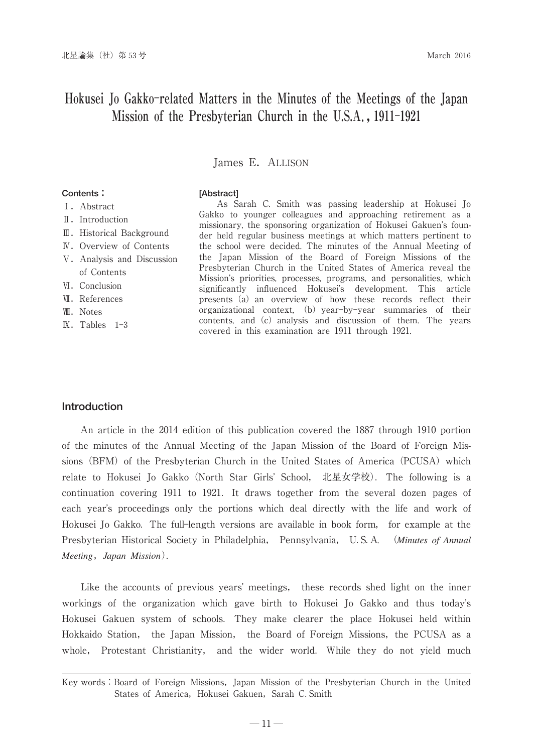James E. ALLISON

# **Contents:**

# **[Abstract]**

Ⅰ.Abstract

- Ⅱ.Introduction
- Ⅲ.Historical Background
- Ⅳ.Overview of Contents
- Ⅴ.Analysis and Discussion of Contents
- Ⅵ.Conclusion
- **W.** References
- Ⅷ.Notes
- Ⅸ.Tables 1-3

As Sarah C. Smith was passing leadership at Hokusei Jo Gakko to younger colleagues and approaching retirement as a missionary, the sponsoring organization of Hokusei Gakuen's founder held regular business meetings at which matters pertinent to the school were decided. The minutes of the Annual Meeting of the Japan Mission of the Board of Foreign Missions of the Presbyterian Church in the United States of America reveal the Mission's priorities, processes, programs, and personalities, which significantly influenced Hokusei's development. This article presents (a) an overview of how these records reflect their organizational context, (b) year–by–year summaries of their contents, and  $(c)$  analysis and discussion of them. The years covered in this examination are 1911 through 1921.

## **Introduction**

An article in the 2014 edition of this publication covered the 1887 through 1910 portion of the minutes of the Annual Meeting of the Japan Mission of the Board of Foreign Missions (BFM) of the Presbyterian Church in the United States of America (PCUSA) which relate to Hokusei Jo Gakko (North Star Girls' School, 北星女学校). The following is a continuation covering 1911 to 1921-It draws together from the several dozen pages of each year's proceedings only the portions which deal directly with the life and work of Hokusei Jo Gakko-The full-length versions are available in book form, for example at the Presbyterian Historical Society in Philadelphia, Pennsylvania, U-S-A. (*Minutes of Annual Meeting*,*Japan Mission*).

Like the accounts of previous years' meetings, these records shed light on the inner workings of the organization which gave birth to Hokusei Jo Gakko and thus today's Hokusei Gakuen system of schools- They make clearer the place Hokusei held within Hokkaido Station, the Japan Mission, the Board of Foreign Missions,the PCUSA as a whole, Protestant Christianity, and the wider world. While they do not yield much

Key words:Board of Foreign Missions,Japan Mission of the Presbyterian Church in the United States of America, Hokusei Gakuen, Sarah C.Smith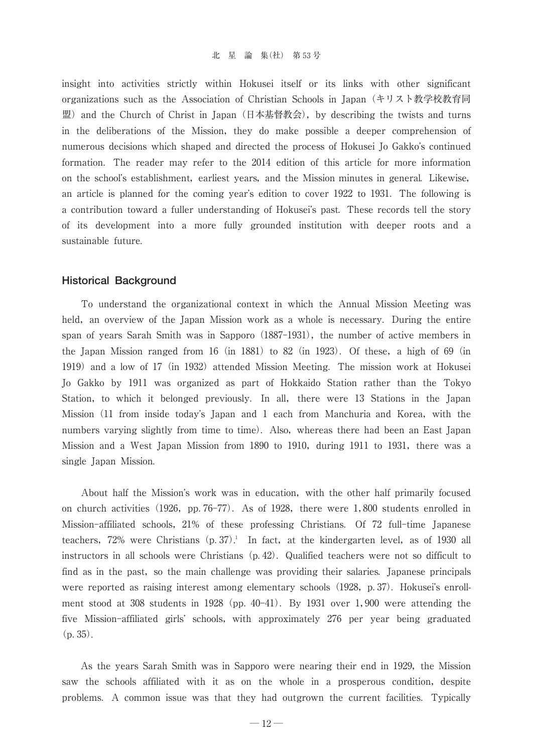insight into activities strictly within Hokusei itself or its links with other significant organizations such as the Association of Christian Schools in Japan(キリスト教学校教育同 盟) and the Church of Christ in Japan (日本基督教会), by describing the twists and turns in the deliberations of the Mission, they do make possible a deeper comprehension of numerous decisions which shaped and directed the process of Hokusei Jo Gakko's continued formation. The reader may refer to the 2014 edition of this article for more information on the school's establishment, earliest years, and the Mission minutes in general. Likewise, an article is planned for the coming year's edition to cover 1922 to 1931. The following is a contribution toward a fuller understanding of Hokusei's past. These records tell the story of its development into a more fully grounded institution with deeper roots and a sustainable future.

## **Historical Background**

To understand the organizational context in which the Annual Mission Meeting was held, an overview of the Japan Mission work as a whole is necessary. During the entire span of years Sarah Smith was in Sapporo  $(1887-1931)$ , the number of active members in the Japan Mission ranged from  $16$  (in  $1881$ ) to  $82$  (in  $1923$ ). Of these, a high of  $69$  (in 1919) and a low of 17 (in 1932) attended Mission Meeting. The mission work at Hokusei Jo Gakko by 1911 was organized as part of Hokkaido Station rather than the Tokyo Station, to which it belonged previously. In all, there were 13 Stations in the Japan Mission (11 from inside today's Japan and 1 each from Manchuria and Korea, with the numbers varying slightly from time to time). Also, whereas there had been an East Japan Mission and a West Japan Mission from 1890 to 1910, during 1911 to 1931, there was a single Japan Mission.

About half the Mission's work was in education, with the other half primarily focused on church activities  $(1926, pp. 76-77)$ . As of 1928, there were 1,800 students enrolled in Mission-affiliated schools,21% of these professing Christians- Of 72 full-time Japanese teachers,  $72\%$  were Christians  $(p. 37)$ . In fact, at the kindergarten level, as of 1930 all instructors in all schools were Christians  $(p. 42)$ . Qualified teachers were not so difficult to find as in the past, so the main challenge was providing their salaries. Japanese principals were reported as raising interest among elementary schools (1928, p. 37). Hokusei's enrollment stood at  $308$  students in  $1928$  (pp. 40–41). By 1931 over 1,900 were attending the five Mission-affiliated girls' schools, with approximately 276 per year being graduated  $(p. 35)$ .

As the years Sarah Smith was in Sapporo were nearing their end in 1929, the Mission saw the schools affiliated with it as on the whole in a prosperous condition, despite problems. A common issue was that they had outgrown the current facilities. Typically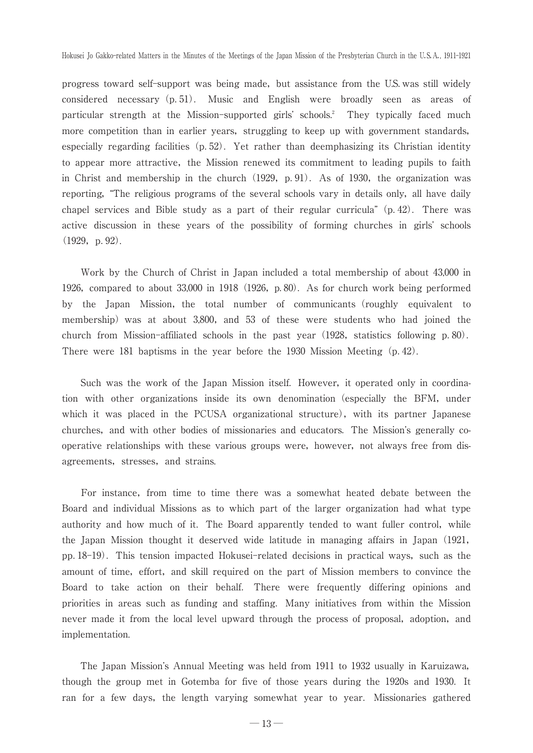progress toward self-support was being made, but assistance from the U.S. was still widely considered necessary(p-51)- Music and English were broadly seen as areas of particular strength at the Mission-supported girls' schools.<sup>2</sup> They typically faced much more competition than in earlier years, struggling to keep up with government standards, especially regarding facilities  $(p. 52)$ . Yet rather than deemphasizing its Christian identity to appear more attractive, the Mission renewed its commitment to leading pupils to faith in Christ and membership in the church  $(1929, p.91)$ . As of 1930, the organization was reporting, "The religious programs of the several schools vary in details only, all have daily chapel services and Bible study as a part of their regular curricula"  $(p. 42)$ . There was active discussion in these years of the possibility of forming churches in girls' schools  $(1929, p. 92)$ .

Work by the Church of Christ in Japan included a total membership of about 43,000 in 1926, compared to about  $33,000$  in 1918 (1926, p.80). As for church work being performed by the Japan Mission, the total number of communicants (roughly equivalent to membership) was at about 3,800, and 53 of these were students who had joined the church from Mission-affiliated schools in the past year  $(1928,$  statistics following p. 80). There were 181 baptisms in the year before the 1930 Mission Meeting (p. 42).

Such was the work of the Japan Mission itself. However, it operated only in coordination with other organizations inside its own denomination (especially the BFM, under which it was placed in the PCUSA organizational structure), with its partner Japanese churches, and with other bodies of missionaries and educators. The Mission's generally cooperative relationships with these various groups were, however, not always free from disagreements, stresses, and strains.

For instance, from time to time there was a somewhat heated debate between the Board and individual Missions as to which part of the larger organization had what type authority and how much of it. The Board apparently tended to want fuller control, while the Japan Mission thought it deserved wide latitude in managing affairs in Japan(1921, pp. 18–19). This tension impacted Hokusei-related decisions in practical ways, such as the amount of time, effort, and skill required on the part of Mission members to convince the Board to take action on their behalf- There were frequently differing opinions and priorities in areas such as funding and staffing-Many initiatives from within the Mission never made it from the local level upward through the process of proposal, adoption, and implementation.

The Japan Mission's Annual Meeting was held from 1911 to 1932 usually in Karuizawa, though the group met in Gotemba for five of those years during the 1920s and 1930. It ran for a few days, the length varying somewhat year to year. Missionaries gathered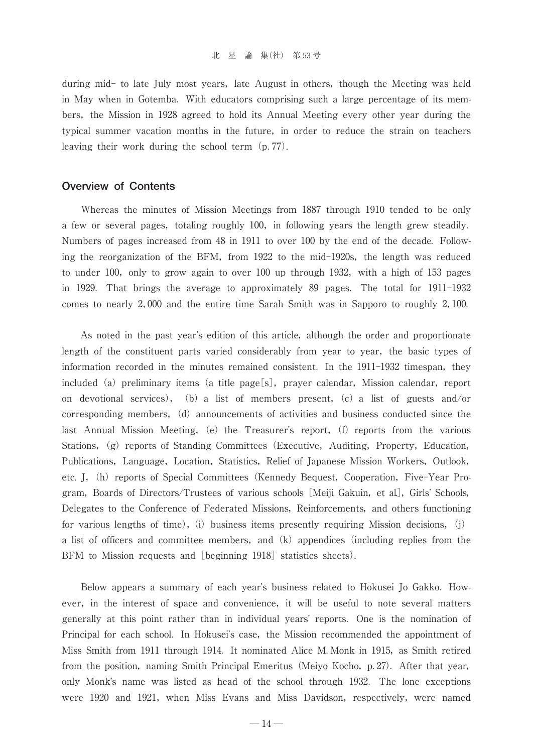during mid- to late July most years, late August in others, though the Meeting was held in May when in Gotemba-With educators comprising such a large percentage of its members, the Mission in 1928 agreed to hold its Annual Meeting every other year during the typical summer vacation months in the future, in order to reduce the strain on teachers leaving their work during the school term  $(p. 77)$ .

# **Overview of Contents**

Whereas the minutes of Mission Meetings from 1887 through 1910 tended to be only a few or several pages, totaling roughly 100, in following years the length grew steadily. Numbers of pages increased from 48 in 1911 to over 100 by the end of the decade-Following the reorganization of the BFM, from 1922 to the mid-1920s, the length was reduced to under 100, only to grow again to over 100 up through 1932, with a high of 153 pages in 1929-That brings the average to approximately 89 pages-The total for 1911-1932 comes to nearly 2,000 and the entire time Sarah Smith was in Sapporo to roughly 2,100.

As noted in the past year's edition of this article, although the order and proportionate length of the constituent parts varied considerably from year to year, the basic types of information recorded in the minutes remained consistent. In the 1911-1932 timespan, they included (a) preliminary items (a title page $[s]$ , prayer calendar, Mission calendar, report on devotional services),(b)a list of members present,(c)a list of guests and/or corresponding members, (d) announcements of activities and business conducted since the last Annual Mission Meeting, (e) the Treasurer's report, (f) reports from the various Stations, (g) reports of Standing Committees (Executive, Auditing, Property, Education, Publications, Language, Location, Statistics, Relief of Japanese Mission Workers, Outlook, etc. J, (h) reports of Special Committees (Kennedy Bequest, Cooperation, Five-Year Program, Boards of Directors/Trustees of various schools [Meiji Gakuin, et al.], Girls' Schools, Delegates to the Conference of Federated Missions, Reinforcements, and others functioning for various lengths of time), (i) business items presently requiring Mission decisions, (j) a list of officers and committee members, and  $(k)$  appendices (including replies from the BFM to Mission requests and [beginning 1918] statistics sheets).

Below appears a summary of each year's business related to Hokusei Jo Gakko. However, in the interest of space and convenience, it will be useful to note several matters generally at this point rather than in individual years' reports. One is the nomination of Principal for each school. In Hokusei's case, the Mission recommended the appointment of Miss Smith from 1911 through 1914. It nominated Alice M. Monk in 1915, as Smith retired from the position, naming Smith Principal Emeritus (Meiyo Kocho, p. 27). After that year, only Monk's name was listed as head of the school through 1932. The lone exceptions were 1920 and 1921, when Miss Evans and Miss Davidson, respectively, were named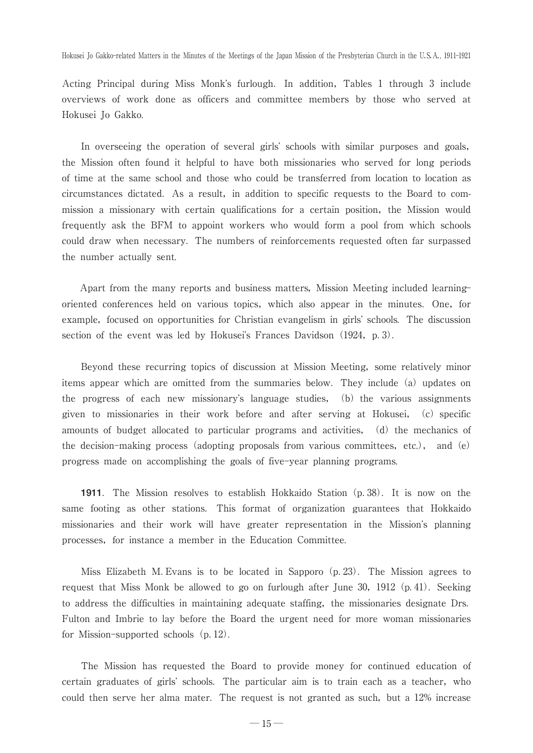Acting Principal during Miss Monk's furlough. In addition, Tables 1 through 3 include overviews of work done as officers and committee members by those who served at Hokusei Jo Gakko.

In overseeing the operation of several girls' schools with similar purposes and goals, the Mission often found it helpful to have both missionaries who served for long periods of time at the same school and those who could be transferred from location to location as circumstances dictated. As a result, in addition to specific requests to the Board to commission a missionary with certain qualifications for a certain position, the Mission would frequently ask the BFM to appoint workers who would form a pool from which schools could draw when necessary-The numbers of reinforcements requested often far surpassed the number actually sent.

Apart from the many reports and business matters, Mission Meeting included learningoriented conferences held on various topics, which also appear in the minutes. One, for example, focused on opportunities for Christian evangelism in girls' schools. The discussion section of the event was led by Hokusei's Frances Davidson (1924, p. 3).

Beyond these recurring topics of discussion at Mission Meeting, some relatively minor items appear which are omitted from the summaries below. They include (a) updates on the progress of each new missionary's language studies, (b) the various assignments given to missionaries in their work before and after serving at Hokusei, (c) specific amounts of budget allocated to particular programs and activities, (d) the mechanics of the decision-making process (adopting proposals from various committees, etc.), and (e) progress made on accomplishing the goals of five-year planning programs.

**1911**. The Mission resolves to establish Hokkaido Station (p. 38). It is now on the same footing as other stations. This format of organization guarantees that Hokkaido missionaries and their work will have greater representation in the Mission's planning processes, for instance a member in the Education Committee.

Miss Elizabeth M. Evans is to be located in Sapporo (p. 23). The Mission agrees to request that Miss Monk be allowed to go on furlough after June 30, 1912 (p. 41). Seeking to address the difficulties in maintaining adequate staffing, the missionaries designate Drs. Fulton and Imbrie to lay before the Board the urgent need for more woman missionaries for Mission-supported schools (p. 12).

The Mission has requested the Board to provide money for continued education of certain graduates of girls' schools. The particular aim is to train each as a teacher, who could then serve her alma mater. The request is not granted as such, but a 12% increase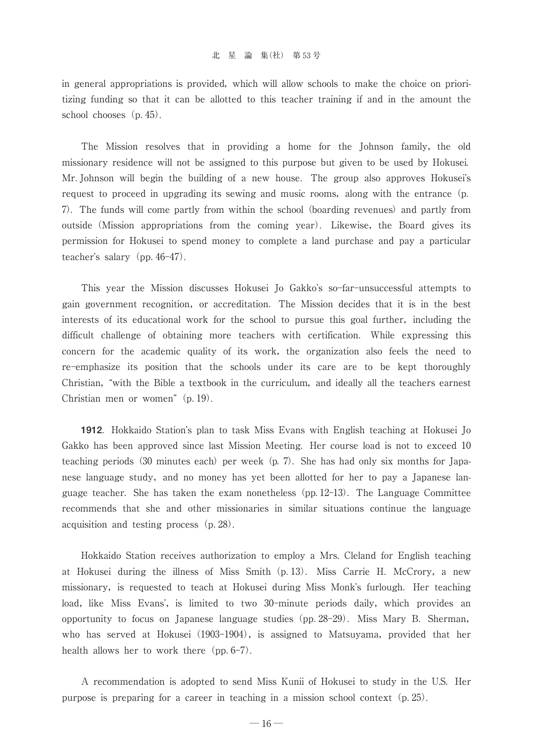in general appropriations is provided, which will allow schools to make the choice on prioritizing funding so that it can be allotted to this teacher training if and in the amount the school chooses  $(p. 45)$ .

The Mission resolves that in providing a home for the Johnson family, the old missionary residence will not be assigned to this purpose but given to be used by Hokusei- Mr. Johnson will begin the building of a new house. The group also approves Hokusei's request to proceed in upgrading its sewing and music rooms, along with the entrance (p. 7)-The funds will come partly from within the school(boarding revenues)and partly from outside (Mission appropriations from the coming year). Likewise, the Board gives its permission for Hokusei to spend money to complete a land purchase and pay a particular teacher's salary  $(pp. 46-47)$ .

This year the Mission discusses Hokusei Jo Gakko's so-far-unsuccessful attempts to gain government recognition, or accreditation. The Mission decides that it is in the best interests of its educational work for the school to pursue this goal further, including the difficult challenge of obtaining more teachers with certification. While expressing this concern for the academic quality of its work, the organization also feels the need to re-emphasize its position that the schools under its care are to be kept thoroughly Christian, "with the Bible a textbook in the curriculum, and ideally all the teachers earnest Christian men or women"  $(p. 19)$ .

**1912**. Hokkaido Station's plan to task Miss Evans with English teaching at Hokusei Jo Gakko has been approved since last Mission Meeting-Her course load is not to exceed 10 teaching periods  $(30 \text{ minutes each})$  per week $(p, 7)$ . She has had only six months for Japanese language study, and no money has yet been allotted for her to pay a Japanese language teacher. She has taken the exam nonetheless (pp. 12-13). The Language Committee recommends that she and other missionaries in similar situations continue the language acquisition and testing process (p. 28).

Hokkaido Station receives authorization to employ a Mrs-Cleland for English teaching at Hokusei during the illness of Miss Smith (p. 13). Miss Carrie H. McCrory, a new missionary, is requested to teach at Hokusei during Miss Monk's furlough. Her teaching load, like Miss Evans', is limited to two 30-minute periods daily, which provides an opportunity to focus on Japanese language studies  $(pp. 28-29)$ . Miss Mary B. Sherman, who has served at Hokusei (1903–1904), is assigned to Matsuyama, provided that her health allows her to work there  $(pp. 6-7)$ .

A recommendation is adopted to send Miss Kunii of Hokusei to study in the U.S-Her purpose is preparing for a career in teaching in a mission school context(p-25).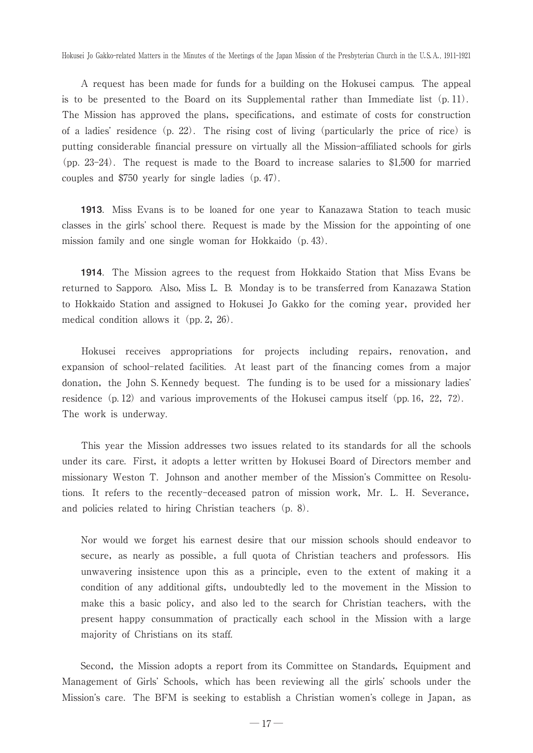A request has been made for funds for a building on the Hokusei campus-The appeal is to be presented to the Board on its Supplemental rather than Immediate list  $(p, 11)$ . The Mission has approved the plans, specifications, and estimate of costs for construction of a ladies' residence  $(p, 22)$ . The rising cost of living (particularly the price of rice) is putting considerable financial pressure on virtually all the Mission-affiliated schools for girls  $(pp. 23-24)$ . The request is made to the Board to increase salaries to \$1,500 for married couples and  $$750$  yearly for single ladies (p. 47).

**1913**-Miss Evans is to be loaned for one year to Kanazawa Station to teach music classes in the girls' school there. Request is made by the Mission for the appointing of one mission family and one single woman for Hokkaido (p. 43).

**1914**-The Mission agrees to the request from Hokkaido Station that Miss Evans be returned to Sapporo. Also, Miss L. B. Monday is to be transferred from Kanazawa Station to Hokkaido Station and assigned to Hokusei Jo Gakko for the coming year, provided her medical condition allows it  $(pp. 2, 26)$ .

Hokusei receives appropriations for projects including repairs, renovation, and expansion of school-related facilities-At least part of the financing comes from a major donation, the John S. Kennedy bequest. The funding is to be used for a missionary ladies' residence  $(p, 12)$  and various improvements of the Hokusei campus itself  $(pp. 16, 22, 72)$ . The work is underway.

This year the Mission addresses two issues related to its standards for all the schools under its care. First, it adopts a letter written by Hokusei Board of Directors member and missionary Weston T. Johnson and another member of the Mission's Committee on Resolutions. It refers to the recently-deceased patron of mission work, Mr. L. H. Severance, and policies related to hiring Christian teachers (p. 8).

Nor would we forget his earnest desire that our mission schools should endeavor to secure, as nearly as possible, a full quota of Christian teachers and professors. His unwavering insistence upon this as a principle, even to the extent of making it a condition of any additional gifts, undoubtedly led to the movement in the Mission to make this a basic policy, and also led to the search for Christian teachers, with the present happy consummation of practically each school in the Mission with a large majority of Christians on its staff.

Second, the Mission adopts a report from its Committee on Standards, Equipment and Management of Girls' Schools, which has been reviewing all the girls' schools under the Mission's care. The BFM is seeking to establish a Christian women's college in Japan, as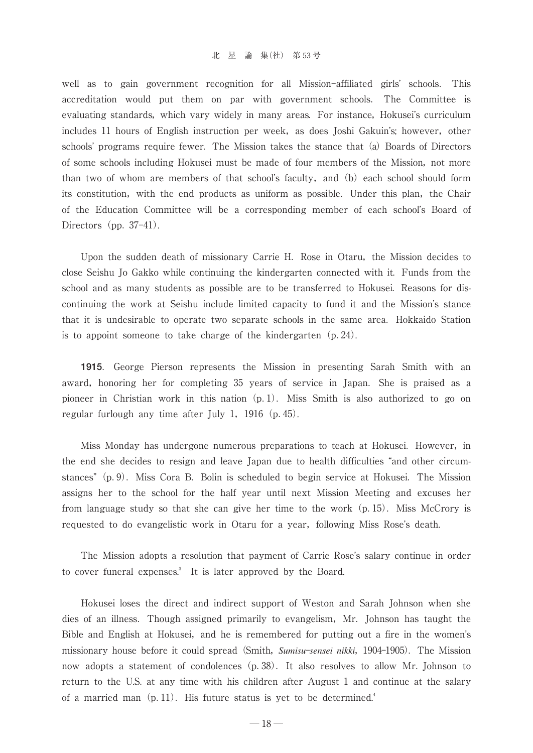well as to gain government recognition for all Mission-affiliated girls' schools. This accreditation would put them on par with government schools. The Committee is evaluating standards, which vary widely in many areas. For instance, Hokusei's curriculum includes 11 hours of English instruction per week, as does Joshi Gakuin's; however, other schools' programs require fewer. The Mission takes the stance that (a) Boards of Directors of some schools including Hokusei must be made of four members of the Mission, not more than two of whom are members of that school's faculty, and (b) each school should form its constitution, with the end products as uniform as possible. Under this plan, the Chair of the Education Committee will be a corresponding member of each school's Board of Directors (pp.  $37-41$ ).

Upon the sudden death of missionary Carrie H. Rose in Otaru, the Mission decides to close Seishu Jo Gakko while continuing the kindergarten connected with it-Funds from the school and as many students as possible are to be transferred to Hokusei. Reasons for discontinuing the work at Seishu include limited capacity to fund it and the Mission's stance that it is undesirable to operate two separate schools in the same area. Hokkaido Station is to appoint someone to take charge of the kindergarten  $(p. 24)$ .

**1915**- George Pierson represents the Mission in presenting Sarah Smith with an award, honoring her for completing 35 years of service in Japan. She is praised as a pioneer in Christian work in this nation (p. 1). Miss Smith is also authorized to go on regular furlough any time after July 1, 1916 (p. 45).

Miss Monday has undergone numerous preparations to teach at Hokusei-However,in the end she decides to resign and leave Japan due to health difficulties "and other circumstances" (p. 9). Miss Cora B. Bolin is scheduled to begin service at Hokusei. The Mission assigns her to the school for the half year until next Mission Meeting and excuses her from language study so that she can give her time to the work (p. 15). Miss McCrory is requested to do evangelistic work in Otaru for a year, following Miss Rose's death.

The Mission adopts a resolution that payment of Carrie Rose's salary continue in order to cover funeral expenses.<sup>3</sup> It is later approved by the Board.

Hokusei loses the direct and indirect support of Weston and Sarah Johnson when she dies of an illness. Though assigned primarily to evangelism, Mr. Johnson has taught the Bible and English at Hokusei, and he is remembered for putting out a fire in the women's missionary house before it could spread(Smith,*Sumisu*-*sensei nikki*,1904-1905)-The Mission now adopts a statement of condolences (p. 38). It also resolves to allow Mr. Johnson to return to the U.S. at any time with his children after August 1 and continue at the salary of a married man (p. 11). His future status is yet to be determined.<sup>4</sup>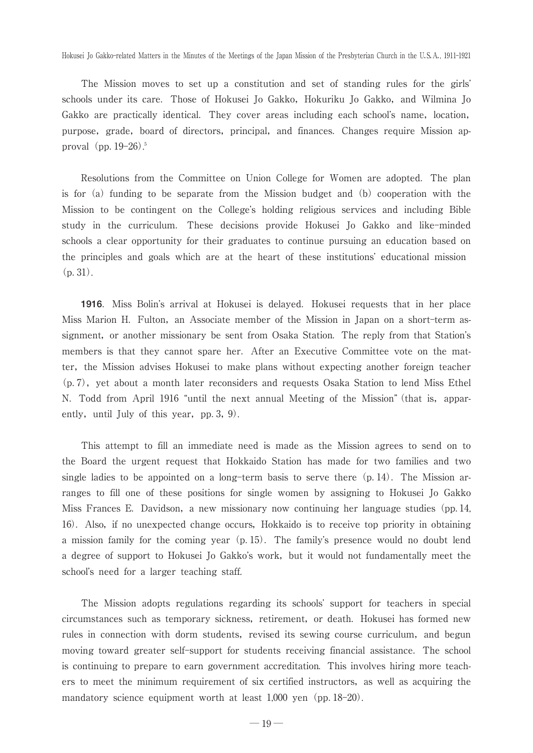The Mission moves to set up a constitution and set of standing rules for the girls schools under its care. Those of Hokusei Jo Gakko, Hokuriku Jo Gakko, and Wilmina Jo Gakko are practically identical. They cover areas including each school's name, location, purpose, grade, board of directors, principal, and finances. Changes require Mission approval (pp. 19–26).<sup>5</sup>

Resolutions from the Committee on Union College for Women are adopted-The plan is for (a) funding to be separate from the Mission budget and (b) cooperation with the Mission to be contingent on the College's holding religious services and including Bible study in the curriculum- These decisions provide Hokusei Jo Gakko and like-minded schools a clear opportunity for their graduates to continue pursuing an education based on the principles and goals which are at the heart of these institutions' educational mission  $(p. 31)$ .

**1916**. Miss Bolin's arrival at Hokusei is delayed. Hokusei requests that in her place Miss Marion H. Fulton, an Associate member of the Mission in Japan on a short-term assignment, or another missionary be sent from Osaka Station. The reply from that Station's members is that they cannot spare her-After an Executive Committee vote on the matter, the Mission advises Hokusei to make plans without expecting another foreign teacher  $(p, 7)$ , yet about a month later reconsiders and requests Osaka Station to lend Miss Ethel N. Todd from April 1916 "until the next annual Meeting of the Mission" (that is, apparently, until July of this year,  $pp.3, 9$ ).

This attempt to fill an immediate need is made as the Mission agrees to send on to the Board the urgent request that Hokkaido Station has made for two families and two single ladies to be appointed on a long-term basis to serve there  $(p. 14)$ . The Mission arranges to fill one of these positions for single women by assigning to Hokusei Jo Gakko Miss Frances E. Davidson, a new missionary now continuing her language studies (pp. 14, 16)-Also,if no unexpected change occurs,Hokkaido is to receive top priority in obtaining a mission family for the coming year  $(p, 15)$ . The family's presence would no doubt lend a degree of support to Hokusei Jo Gakko's work, but it would not fundamentally meet the school's need for a larger teaching staff.

The Mission adopts regulations regarding its schools' support for teachers in special circumstances such as temporary sickness, retirement, or death. Hokusei has formed new rules in connection with dorm students, revised its sewing course curriculum, and begun moving toward greater self-support for students receiving financial assistance-The school is continuing to prepare to earn government accreditation. This involves hiring more teachers to meet the minimum requirement of six certified instructors, as well as acquiring the mandatory science equipment worth at least 1,000 yen (pp. 18–20).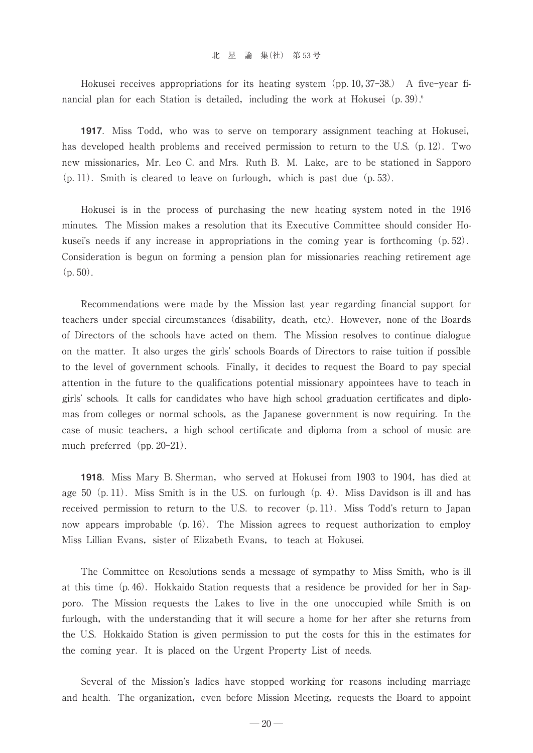#### 北星論集(社) 第53号

Hokusei receives appropriations for its heating system (pp. 10, 37–38.) A five-year financial plan for each Station is detailed, including the work at Hokusei  $(p. 39)^6$ 

**1917**. Miss Todd, who was to serve on temporary assignment teaching at Hokusei, has developed health problems and received permission to return to the U.S. (p. 12). Two new missionaries, Mr. Leo C. and Mrs. Ruth B. M. Lake, are to be stationed in Sapporo  $(p, 11)$ . Smith is cleared to leave on furlough, which is past due  $(p, 53)$ .

Hokusei is in the process of purchasing the new heating system noted in the 1916 minutes-The Mission makes a resolution that its Executive Committee should consider Hokusei's needs if any increase in appropriations in the coming year is forthcoming  $(p. 52)$ . Consideration is begun on forming a pension plan for missionaries reaching retirement age  $(p. 50)$ .

Recommendations were made by the Mission last year regarding financial support for teachers under special circumstances (disability, death, etc.). However, none of the Boards of Directors of the schools have acted on them-The Mission resolves to continue dialogue on the matter. It also urges the girls' schools Boards of Directors to raise tuition if possible to the level of government schools. Finally, it decides to request the Board to pay special attention in the future to the qualifications potential missionary appointees have to teach in girls' schools. It calls for candidates who have high school graduation certificates and diplomas from colleges or normal schools, as the Japanese government is now requiring. In the case of music teachers, a high school certificate and diploma from a school of music are much preferred  $(pp. 20-21)$ .

**1918**. Miss Mary B. Sherman, who served at Hokusei from 1903 to 1904, has died at age  $50$  (p. 11). Miss Smith is in the U.S. on furlough (p. 4). Miss Davidson is ill and has received permission to return to the U.S. to recover  $(p, 11)$ . Miss Todd's return to Japan now appears improbable (p. 16). The Mission agrees to request authorization to employ Miss Lillian Evans, sister of Elizabeth Evans, to teach at Hokusei.

The Committee on Resolutions sends a message of sympathy to Miss Smith, who is ill at this time (p. 46). Hokkaido Station requests that a residence be provided for her in Sapporo-The Mission requests the Lakes to live in the one unoccupied while Smith is on furlough, with the understanding that it will secure a home for her after she returns from the U.S-Hokkaido Station is given permission to put the costs for this in the estimates for the coming year. It is placed on the Urgent Property List of needs.

Several of the Mission's ladies have stopped working for reasons including marriage and health. The organization, even before Mission Meeting, requests the Board to appoint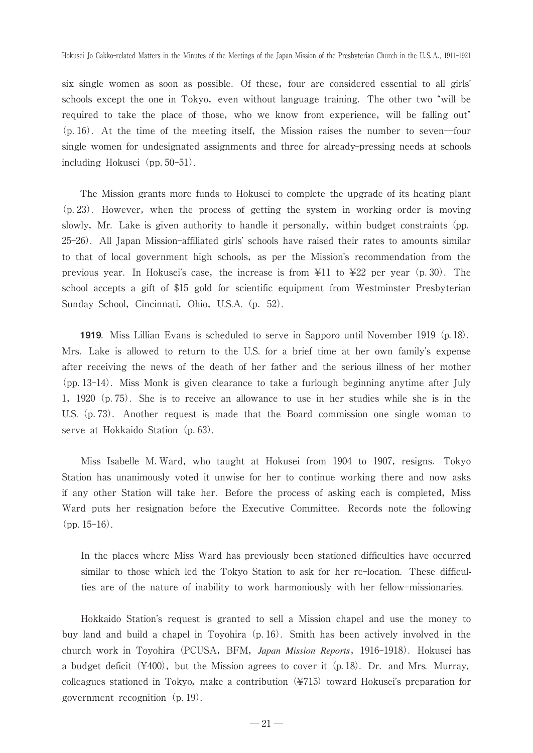six single women as soon as possible. Of these, four are considered essential to all girls' schools except the one in Tokyo, even without language training. The other two "will be required to take the place of those, who we know from experience, will be falling out"  $(p. 16)$ . At the time of the meeting itself, the Mission raises the number to seven—four single women for undesignated assignments and three for already-pressing needs at schools including Hokusei (pp. 50–51).

The Mission grants more funds to Hokusei to complete the upgrade of its heating plant (p. 23). However, when the process of getting the system in working order is moving slowly, Mr. Lake is given authority to handle it personally, within budget constraints (pp. 25–26). All Japan Mission-affiliated girls' schools have raised their rates to amounts similar to that of local government high schools, as per the Mission's recommendation from the previous year. In Hokusei's case, the increase is from  $\angle 11$  to  $\angle 22$  per year (p. 30). The school accepts a gift of \$15 gold for scientific equipment from Westminster Presbyterian Sunday School, Cincinnati, Ohio, U.S.A. (p. 52).

**1919**. Miss Lillian Evans is scheduled to serve in Sapporo until November 1919 (p. 18). Mrs. Lake is allowed to return to the U.S. for a brief time at her own family's expense after receiving the news of the death of her father and the serious illness of her mother (pp-13-14)-Miss Monk is given clearance to take a furlough beginning anytime after July 1,1920(p-75)-She is to receive an allowance to use in her studies while she is in the U.S. (p. 73). Another request is made that the Board commission one single woman to serve at Hokkaido Station (p. 63).

Miss Isabelle M. Ward, who taught at Hokusei from 1904 to 1907, resigns. Tokyo Station has unanimously voted it unwise for her to continue working there and now asks if any other Station will take her. Before the process of asking each is completed, Miss Ward puts her resignation before the Executive Committee. Records note the following  $(pp. 15-16)$ .

In the places where Miss Ward has previously been stationed difficulties have occurred similar to those which led the Tokyo Station to ask for her re-location-These difficulties are of the nature of inability to work harmoniously with her fellow-missionaries.

Hokkaido Station's request is granted to sell a Mission chapel and use the money to buy land and build a chapel in Toyohira (p. 16). Smith has been actively involved in the church work in Toyohira (PCUSA, BFM, *Japan Mission Reports*, 1916-1918). Hokusei has a budget deficit  $(*400)$ , but the Mission agrees to cover it  $(p. 18)$ . Dr. and Mrs. Murray, colleagues stationed in Tokyo, make a contribution  $(\frac{4715}{\sigma})$  toward Hokusei's preparation for government recognition  $(p. 19)$ .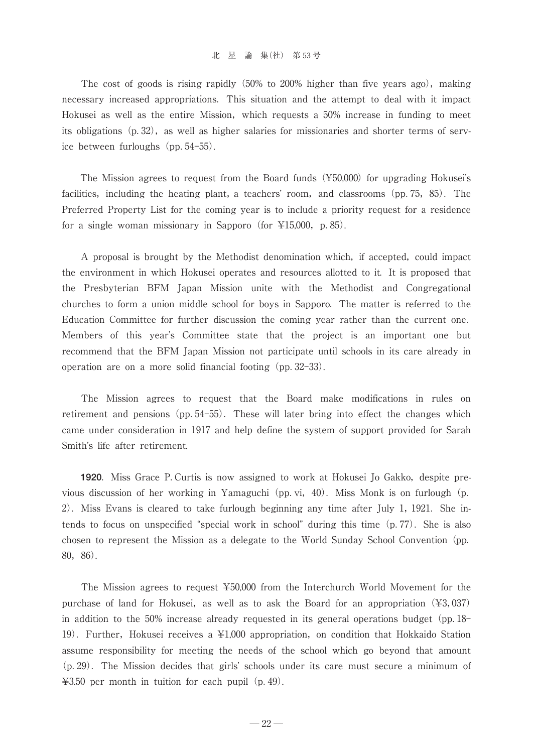#### 北星論集(社) 第53号

The cost of goods is rising rapidly  $(50\%$  to  $200\%$  higher than five years ago), making necessary increased appropriations-This situation and the attempt to deal with it impact Hokusei as well as the entire Mission, which requests a 50% increase in funding to meet its obligations  $(p, 32)$ , as well as higher salaries for missionaries and shorter terms of service between furloughs (pp. 54–55).

The Mission agrees to request from the Board funds  $(\text{\textless{450,000}})$  for upgrading Hokusei's facilities, including the heating plant, a teachers' room, and classrooms (pp. 75, 85). The Preferred Property List for the coming year is to include a priority request for a residence for a single woman missionary in Sapporo (for  $\text{\&}15,000$ , p. 85).

A proposal is brought by the Methodist denomination which, if accepted, could impact the environment in which Hokusei operates and resources allotted to it-It is proposed that the Presbyterian BFM Japan Mission unite with the Methodist and Congregational churches to form a union middle school for boys in Sapporo-The matter is referred to the Education Committee for further discussion the coming year rather than the current one- Members of this year's Committee state that the project is an important one but recommend that the BFM Japan Mission not participate until schools in its care already in operation are on a more solid financial footing  $(pp. 32-33)$ .

The Mission agrees to request that the Board make modifications in rules on retirement and pensions (pp. 54–55). These will later bring into effect the changes which came under consideration in 1917 and help define the system of support provided for Sarah Smith's life after retirement.

**1920**. Miss Grace P. Curtis is now assigned to work at Hokusei Jo Gakko, despite previous discussion of her working in Yamaguchi (pp. vi, 40). Miss Monk is on furlough (p. 2). Miss Evans is cleared to take furlough beginning any time after July 1, 1921. She intends to focus on unspecified "special work in school" during this time  $(p. 77)$ . She is also chosen to represent the Mission as a delegate to the World Sunday School Convention (pp. 80,86).

The Mission agrees to request ¥50,000 from the Interchurch World Movement for the purchase of land for Hokusei, as well as to ask the Board for an appropriation  $(\text{\textless} 3,037)$ in addition to the  $50\%$  increase already requested in its general operations budget (pp. 18– 19). Further, Hokusei receives a ¥1,000 appropriation, on condition that Hokkaido Station assume responsibility for meeting the needs of the school which go beyond that amount (p. 29). The Mission decides that girls' schools under its care must secure a minimum of  $\text{\#3.50}$  per month in tuition for each pupil (p. 49).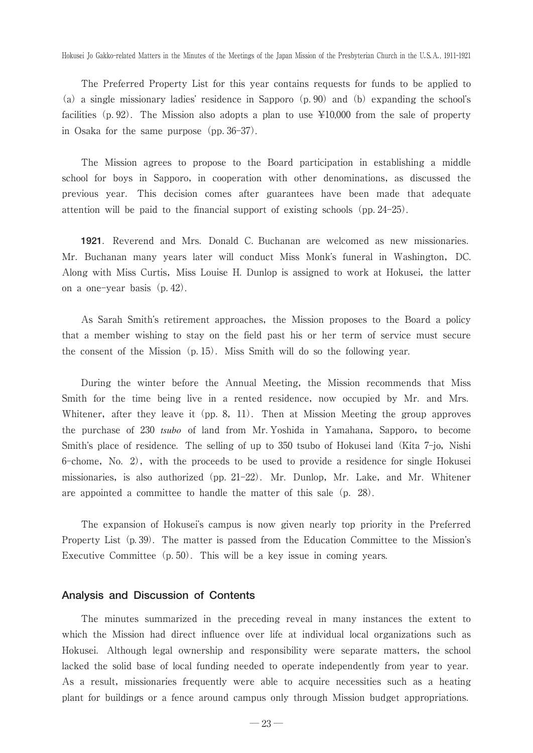The Preferred Property List for this year contains requests for funds to be applied to (a) a single missionary ladies' residence in Sapporo  $(p. 90)$  and (b) expanding the school's facilities (p. 92). The Mission also adopts a plan to use  $\text{\yen}10,000$  from the sale of property in Osaka for the same purpose  $(pp. 36-37)$ .

The Mission agrees to propose to the Board participation in establishing a middle school for boys in Sapporo, in cooperation with other denominations, as discussed the previous year- This decision comes after guarantees have been made that adequate attention will be paid to the financial support of existing schools (pp. 24–25).

**1921**. Reverend and Mrs. Donald C. Buchanan are welcomed as new missionaries. Mr. Buchanan many years later will conduct Miss Monk's funeral in Washington, DC. Along with Miss Curtis, Miss Louise H. Dunlop is assigned to work at Hokusei, the latter on a one-year basis(p-42).

As Sarah Smith's retirement approaches, the Mission proposes to the Board a policy that a member wishing to stay on the field past his or her term of service must secure the consent of the Mission (p. 15). Miss Smith will do so the following year.

During the winter before the Annual Meeting, the Mission recommends that Miss Smith for the time being live in a rented residence, now occupied by Mr. and Mrs. Whitener, after they leave it (pp. 8, 11). Then at Mission Meeting the group approves the purchase of 230 *tsubo* of land from Mr. Yoshida in Yamahana, Sapporo, to become Smith's place of residence. The selling of up to 350 tsubo of Hokusei land (Kita 7-jo, Nishi 6-chome, No. 2), with the proceeds to be used to provide a residence for single Hokusei missionaries, is also authorized (pp. 21–22). Mr. Dunlop, Mr. Lake, and Mr. Whitener are appointed a committee to handle the matter of this sale (p. 28).

The expansion of Hokusei's campus is now given nearly top priority in the Preferred Property List (p. 39). The matter is passed from the Education Committee to the Mission's Executive Committee (p. 50). This will be a key issue in coming years.

# **Analysis and Discussion of Contents**

The minutes summarized in the preceding reveal in many instances the extent to which the Mission had direct influence over life at individual local organizations such as Hokusei. Although legal ownership and responsibility were separate matters, the school lacked the solid base of local funding needed to operate independently from year to year- As a result, missionaries frequently were able to acquire necessities such as a heating plant for buildings or a fence around campus only through Mission budget appropriations-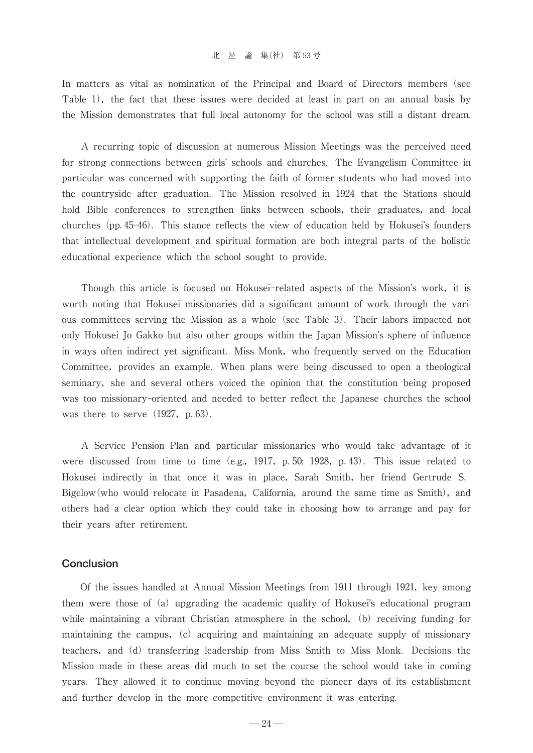#### 北星論集(社) 第53号

In matters as vital as nomination of the Principal and Board of Directors members(see Table 1), the fact that these issues were decided at least in part on an annual basis by the Mission demonstrates that full local autonomy for the school was still a distant dream.

A recurring topic of discussion at numerous Mission Meetings was the perceived need for strong connections between girls' schools and churches. The Evangelism Committee in particular was concerned with supporting the faith of former students who had moved into the countryside after graduation. The Mission resolved in 1924 that the Stations should hold Bible conferences to strengthen links between schools, their graduates, and local churches (pp. 45–46). This stance reflects the view of education held by Hokusei's founders that intellectual development and spiritual formation are both integral parts of the holistic educational experience which the school sought to provide.

Though this article is focused on Hokusei-related aspects of the Mission's work, it is worth noting that Hokusei missionaries did a significant amount of work through the various committees serving the Mission as a whole (see Table 3). Their labors impacted not only Hokusei Jo Gakko but also other groups within the Japan Mission's sphere of influence in ways often indirect yet significant-Miss Monk,who frequently served on the Education Committee, provides an example. When plans were being discussed to open a theological seminary, she and several others voiced the opinion that the constitution being proposed was too missionary-oriented and needed to better reflect the Japanese churches the school was there to serve  $(1927, p. 63)$ .

A Service Pension Plan and particular missionaries who would take advantage of it were discussed from time to time  $(e.g., 1917, p.50; 1928, p.43)$ . This issue related to Hokusei indirectly in that once it was in place, Sarah Smith, her friend Gertrude S. Bigelow(who would relocate in Pasadena, California, around the same time as Smith), and others had a clear option which they could take in choosing how to arrange and pay for their years after retirement.

# **Conclusion**

Of the issues handled at Annual Mission Meetings from 1911 through 1921,key among them were those of (a) upgrading the academic quality of Hokusei's educational program while maintaining a vibrant Christian atmosphere in the school,  $(b)$  receiving funding for maintaining the campus,  $(c)$  acquiring and maintaining an adequate supply of missionary teachers, and (d) transferring leadership from Miss Smith to Miss Monk. Decisions the Mission made in these areas did much to set the course the school would take in coming years-They allowed it to continue moving beyond the pioneer days of its establishment and further develop in the more competitive environment it was entering.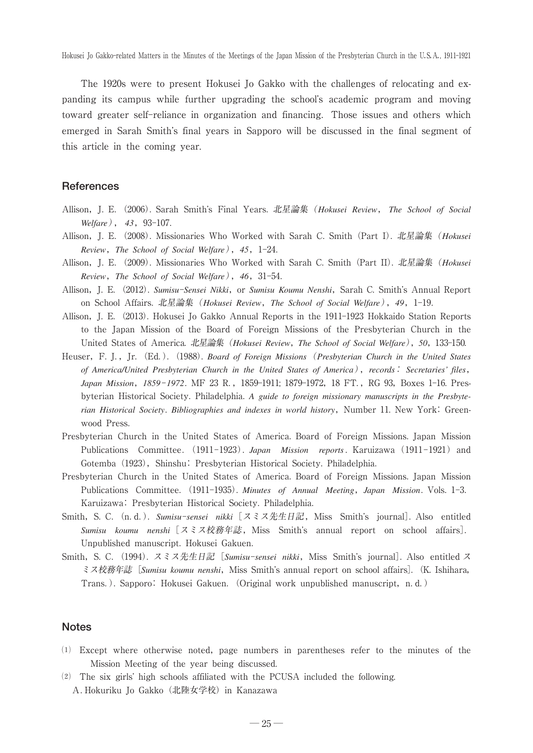The 1920s were to present Hokusei Jo Gakko with the challenges of relocating and expanding its campus while further upgrading the school's academic program and moving toward greater self-reliance in organization and financing-Those issues and others which emerged in Sarah Smith's final years in Sapporo will be discussed in the final segment of this article in the coming year.

# **References**

- Allison,J-E-(2006)-Sarah Smith-s Final Years-北星論集(*Hokusei Review*, *The School of Social Welfare*), 43, 93-107.
- Allison,J-E-(2008)-Missionaries Who Worked with Sarah C-Smith(Part I)-北星論集(*Hokusei Review*,*The School of Social Welfare*),*45*,1-24-
- Allison,J-E-(2009)-Missionaries Who Worked with Sarah C-Smith(Part II)-北星論集(*Hokusei Review*,*The School of Social Welfare*),*46*,31-54-
- Allison, J. E. (2012). *Sumisu-Sensei Nikki*, or *Sumisu Koumu Nenshi*, Sarah C. Smith's Annual Report on School Affairs-北星論集(*Hokusei Review*,*The School of Social Welfare*),*49*,1-19-
- Allison, J. E. (2013). Hokusei Jo Gakko Annual Reports in the 1911–1923 Hokkaido Station Reports to the Japan Mission of the Board of Foreign Missions of the Presbyterian Church in the United States of America-北星論集(*Hokusei Review*,*The School of Social Welfare*),*50*,133-150-
- Heuser, F. J., Jr. (Ed.). (1988). *Board of Foreign Missions* (*Presbyterian Church in the United States of America/United Presbyterian Church in the United States of America*),*records*: *Secretaries' files*, *Japan Mission, 1859–1972.* MF 23 R., 1859–1911; 1879–1972, 18 FT., RG 93, Boxes 1–16. Presbyterian Historical Society. Philadelphia. A guide to foreign missionary manuscripts in the Presbyterian Historical Society. Bibliographies and indexes in world history, Number 11. New York: Greenwood Press-
- Presbyterian Church in the United States of America-Board of Foreign Missions-Japan Mission Publications Committee. (1911-1923). Japan Mission reports Karuizawa (1911-1921) and Gotemba (1923), Shinshu: Presbyterian Historical Society. Philadelphia.
- Presbyterian Church in the United States of America-Board of Foreign Missions-Japan Mission Publications Committee. (1911-1935). Minutes of Annual Meeting, Japan Mission. Vols. 1-3. Karuizawa: Presbyterian Historical Society-Philadelphia-
- Smith, S. C. (n. d.). *Sumisu-sensei nikki* [スミス先生日記, Miss Smith's journal]. Also entitled *Sumisu koumu nenshi* [スミス校務年誌, Miss Smith's annual report on school affairs]. Unpublished manuscript. Hokusei Gakuen.
- Smith, S. C. (1994). スミス先生日記[*Sumisu-sensei nikki*,Miss Smith's journal]. Also entitled ス ミス校務年誌 [Sumisu koumu nenshi, Miss Smith's annual report on school affairs]. (K. Ishihara, Trans.). Sapporo: Hokusei Gakuen. (Original work unpublished manuscript, n.d.)

## **Notes**

- $(1)$  Except where otherwise noted, page numbers in parentheses refer to the minutes of the Mission Meeting of the year being discussed.
- $(2)$  The six girls' high schools affiliated with the PCUSA included the following. -Hokuriku Jo Gakko(北陸女学校)in Kanazawa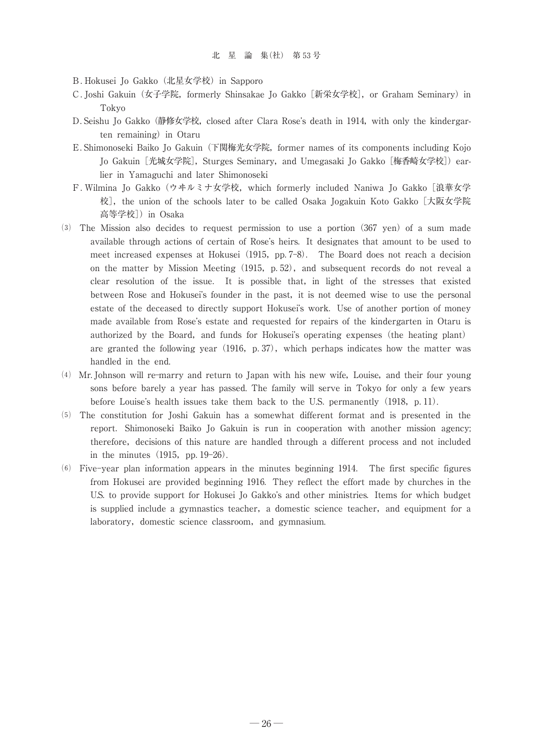B. Hokusei Jo Gakko (北星女学校) in Sapporo

- C. Joshi Gakuin (女子学院, formerly Shinsakae Jo Gakko [新栄女学校], or Graham Seminary) in Tokyo
- D. Seishu Jo Gakko (静修女学校, closed after Clara Rose's death in 1914, with only the kindergarten remaining) in Otaru
- E. Shimonoseki Baiko Jo Gakuin (下関梅光女学院, former names of its components including Kojo Jo Gakuin [光城女学院], Sturges Seminary, and Umegasaki Jo Gakko [梅香崎女学校]) earlier in Yamaguchi and later Shimonoseki
- Wilmina Jo Gakko(ウヰルミナ女学校,which formerly included Naniwa Jo Gakko[浪華女学 校], the union of the schools later to be called Osaka Jogakuin Koto Gakko [大阪女学院 高等学校])in Osaka
- (3) The Mission also decides to request permission to use a portion (367 yen) of a sum made available through actions of certain of Rose's heirs. It designates that amount to be used to meet increased expenses at Hokusei (1915, pp. 7–8). The Board does not reach a decision on the matter by Mission Meeting  $(1915, p.52)$ , and subsequent records do not reveal a clear resolution of the issue. It is possible that, in light of the stresses that existed between Rose and Hokusei's founder in the past, it is not deemed wise to use the personal estate of the deceased to directly support Hokusei's work. Use of another portion of money made available from Rose's estate and requested for repairs of the kindergarten in Otaru is authorized by the Board, and funds for Hokusei's operating expenses (the heating plant) are granted the following year  $(1916, p.37)$ , which perhaps indicates how the matter was handled in the end.
- MrJohnson will re-marry and return to Japan with his new wife,Louise,and their four young sons before barely a year has passed. The family will serve in Tokyo for only a few years before Louise's health issues take them back to the U.S. permanently (1918, p.11).
- $(5)$  The constitution for Joshi Gakuin has a somewhat different format and is presented in the report. Shimonoseki Baiko Jo Gakuin is run in cooperation with another mission agency; therefore, decisions of this nature are handled through a different process and not included in the minutes  $(1915, pp. 19-26)$ .
- Five-year plan information appears in the minutes beginning 1914 The first specific figures from Hokusei are provided beginning 1916. They reflect the effort made by churches in the U.S. to provide support for Hokusei Jo Gakko's and other ministries. Items for which budget is supplied include a gymnastics teacher, a domestic science teacher, and equipment for a laboratory, domestic science classroom, and gymnasium.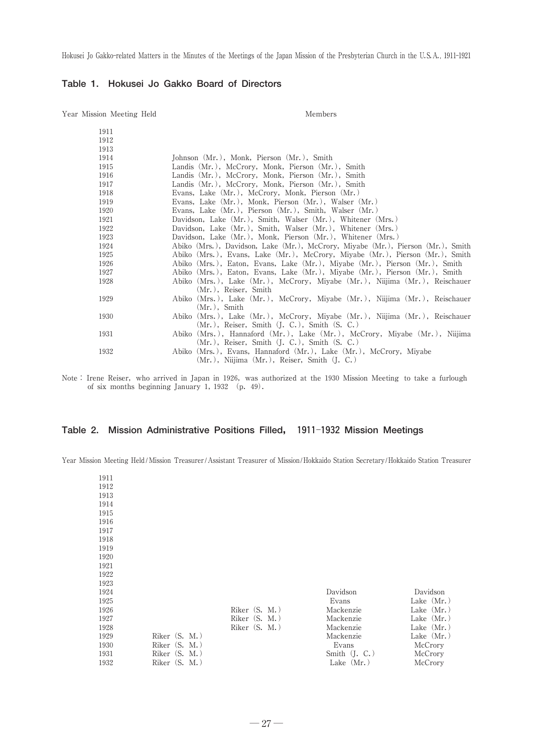# **Table 1. Hokusei Jo Gakko Board of Directors**

Year Mission Meeting Held Members

| 1911 |                                                                                            |
|------|--------------------------------------------------------------------------------------------|
| 1912 |                                                                                            |
| 1913 |                                                                                            |
| 1914 | Johnson (Mr.), Monk, Pierson (Mr.), Smith                                                  |
| 1915 | Landis (Mr.), McCrory, Monk, Pierson (Mr.), Smith                                          |
| 1916 | Landis (Mr.), McCrory, Monk, Pierson (Mr.), Smith                                          |
| 1917 | Landis (Mr.), McCrory, Monk, Pierson (Mr.), Smith                                          |
| 1918 | Evans, Lake (Mr.), McCrory, Monk, Pierson (Mr.)                                            |
| 1919 | Evans, Lake (Mr.), Monk, Pierson (Mr.), Walser (Mr.)                                       |
| 1920 | Evans, Lake (Mr.), Pierson (Mr.), Smith, Walser (Mr.)                                      |
| 1921 | Davidson, Lake (Mr.), Smith, Walser (Mr.), Whitener (Mrs.)                                 |
| 1922 | Davidson, Lake (Mr.), Smith, Walser (Mr.), Whitener (Mrs.)                                 |
| 1923 | Davidson, Lake (Mr.), Monk, Pierson (Mr.), Whitener (Mrs.)                                 |
| 1924 | Abiko (Mrs.), Davidson, Lake (Mr.), McCrory, Miyabe (Mr.), Pierson (Mr.), Smith            |
| 1925 | Abiko (Mrs.), Evans, Lake (Mr.), McCrory, Miyabe (Mr.), Pierson (Mr.), Smith               |
| 1926 | Abiko (Mrs.), Eaton, Evans, Lake (Mr.), Miyabe (Mr.), Pierson (Mr.), Smith                 |
| 1927 | Abiko (Mrs.), Eaton, Evans, Lake (Mr.), Miyabe (Mr.), Pierson (Mr.), Smith                 |
| 1928 | Abiko (Mrs.), Lake (Mr.), McCrory, Miyabe (Mr.), Niijima (Mr.), Reischauer                 |
| 1929 | (Mr.), Reiser, Smith                                                                       |
|      | Abiko (Mrs.), Lake (Mr.), McCrory, Miyabe (Mr.), Niijima (Mr.), Reischauer<br>(Mr.), Smith |
| 1930 | Abiko (Mrs.), Lake (Mr.), McCrory, Miyabe (Mr.), Niijima (Mr.), Reischauer                 |
|      | $(Mr.),$ Reiser, Smith $(J. C.)$ , Smith $(S. C.)$                                         |
| 1931 | Abiko (Mrs.), Hannaford (Mr.), Lake (Mr.), McCrory, Miyabe (Mr.), Niijima                  |
|      | $(Mr.),$ Reiser, Smith $(I, C.),$ Smith $(S, C.)$                                          |
| 1932 | Abiko (Mrs.), Evans, Hannaford (Mr.), Lake (Mr.), McCrory, Miyabe                          |
|      | $(Mr.),$ Niijima $(Mr.),$ Reiser, Smith $(I, C.)$                                          |

Note: Irene Reiser, who arrived in Japan in 1926, was authorized at the 1930 Mission Meeting to take a furlough of six months beginning January 1,1932 (p.49).

## **Table 2. Mission Administrative Positions Filled, 1911**-**1932 Mission Meetings**

Year Mission Meeting Held / Mission Treasurer /Assistant Treasurer of Mission/Hokkaido Station Secretary/Hokkaido Station Treasurer

| 1911<br>1912<br>1913<br>1914<br>1915<br>1916<br>1917<br>1918<br>1919 |                            |                  |                 |              |
|----------------------------------------------------------------------|----------------------------|------------------|-----------------|--------------|
| 1920<br>1921                                                         |                            |                  |                 |              |
| 1922                                                                 |                            |                  |                 |              |
| 1923                                                                 |                            |                  |                 |              |
| 1924                                                                 |                            |                  | Davidson        | Davidson     |
| 1925                                                                 |                            |                  | Evans           | Lake $(Mr.)$ |
| 1926                                                                 |                            | Riker $(S, M, )$ | Mackenzie       | Lake $(Mr.)$ |
| 1927                                                                 |                            | Riker $(S, M, )$ | Mackenzie       | Lake $(Mr.)$ |
| 1928                                                                 |                            | Riker $(S. M.)$  | Mackenzie       | Lake $(Mr.)$ |
| 1929                                                                 | Riker (S. M.)              |                  | Mackenzie       | Lake $(Mr.)$ |
| 1930                                                                 | Riker (S.<br>$M_{\star}$ ) |                  | Evans           | McCrory      |
| 1931                                                                 | Riker (S.<br>$M_{\star}$ ) |                  | Smith $(I, C.)$ | McCrory      |
| 1932                                                                 | Riker (S.<br>$M_{\star}$ ) |                  | Lake $(Mr.)$    | McCrory      |